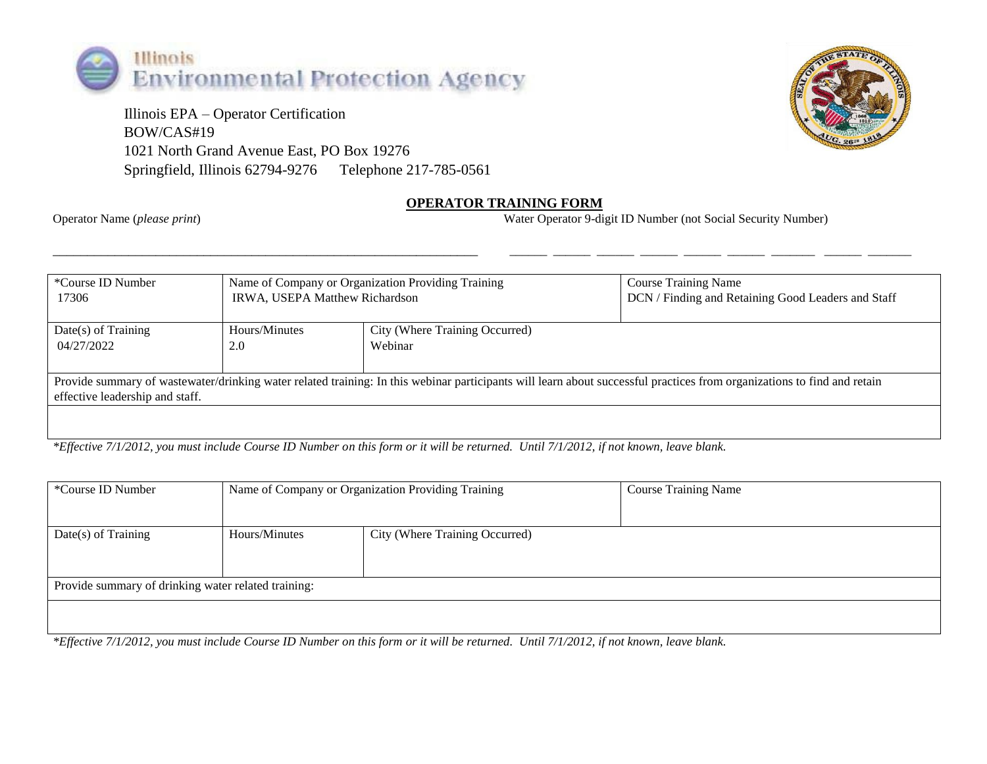

 Illinois EPA – Operator Certification BOW/CAS#19 1021 North Grand Avenue East, PO Box 19276 Springfield, Illinois 62794-9276 Telephone 217-785-0561



## **OPERATOR TRAINING FORM**

Operator Name (*please print*) Water Operator 9-digit ID Number (not Social Security Number)

| *Course ID Number                                                                                                                                                                                          | Name of Company or Organization Providing Training |                                | <b>Course Training Name</b>                        |  |  |
|------------------------------------------------------------------------------------------------------------------------------------------------------------------------------------------------------------|----------------------------------------------------|--------------------------------|----------------------------------------------------|--|--|
| 17306                                                                                                                                                                                                      | IRWA, USEPA Matthew Richardson                     |                                | DCN / Finding and Retaining Good Leaders and Staff |  |  |
| $Date(s)$ of Training                                                                                                                                                                                      | Hours/Minutes                                      | City (Where Training Occurred) |                                                    |  |  |
| 04/27/2022                                                                                                                                                                                                 | 2.0                                                | Webinar                        |                                                    |  |  |
| Provide summary of wastewater/drinking water related training: In this webinar participants will learn about successful practices from organizations to find and retain<br>effective leadership and staff. |                                                    |                                |                                                    |  |  |

\_\_\_\_\_\_\_\_\_\_\_\_\_\_\_\_\_\_\_\_\_\_\_\_\_\_\_\_\_\_\_\_\_\_\_\_\_\_\_\_\_\_\_\_\_\_\_\_\_\_\_\_\_\_\_\_\_\_\_\_\_\_ \_\_\_\_\_\_ \_\_\_\_\_\_ \_\_\_\_\_\_ \_\_\_\_\_\_ \_\_\_\_\_\_ \_\_\_\_\_\_ \_\_\_\_\_\_\_ \_\_\_\_\_\_ \_\_\_\_\_\_\_

*\*Effective 7/1/2012, you must include Course ID Number on this form or it will be returned. Until 7/1/2012, if not known, leave blank.*

| *Course ID Number                                   | Name of Company or Organization Providing Training |  | <b>Course Training Name</b> |  |  |  |
|-----------------------------------------------------|----------------------------------------------------|--|-----------------------------|--|--|--|
| $Date(s)$ of Training                               | Hours/Minutes<br>City (Where Training Occurred)    |  |                             |  |  |  |
| Provide summary of drinking water related training: |                                                    |  |                             |  |  |  |
|                                                     |                                                    |  |                             |  |  |  |

*\*Effective 7/1/2012, you must include Course ID Number on this form or it will be returned. Until 7/1/2012, if not known, leave blank.*